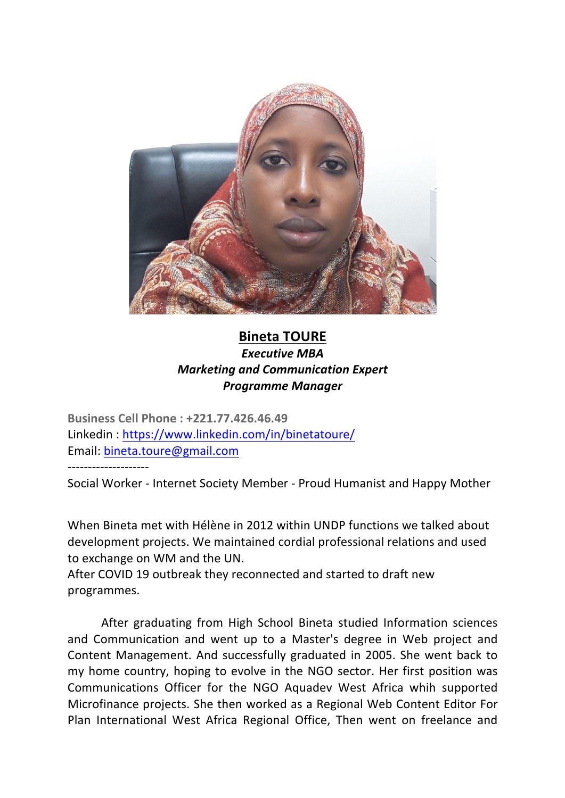

## **Bineta TOURE Executive MBA** *Marketing and Communication Expert Programme Manager*

**Business Cell Phone : +221.77.426.46.49** Linkedin : https://www.linkedin.com/in/binetatoure/ Email: bineta.toure@gmail.com

--------------------

Social Worker - Internet Society Member - Proud Humanist and Happy Mother

When Bineta met with Hélène in 2012 within UNDP functions we talked about development projects. We maintained cordial professional relations and used to exchange on WM and the UN.

After COVID 19 outbreak they reconnected and started to draft new programmes.

After graduating from High School Bineta studied Information sciences and Communication and went up to a Master's degree in Web project and Content Management. And successfully graduated in 2005. She went back to my home country, hoping to evolve in the NGO sector. Her first position was Communications Officer for the NGO Aquadev West Africa whih supported Microfinance projects. She then worked as a Regional Web Content Editor For Plan International West Africa Regional Office, Then went on freelance and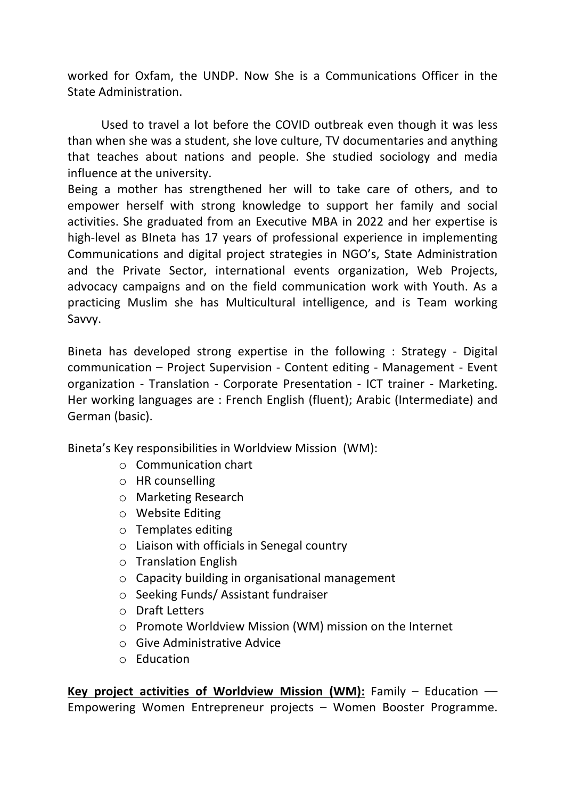worked for Oxfam, the UNDP. Now She is a Communications Officer in the State Administration

Used to travel a lot before the COVID outbreak even though it was less than when she was a student, she love culture, TV documentaries and anything that teaches about nations and people. She studied sociology and media influence at the university.

Being a mother has strengthened her will to take care of others, and to empower herself with strong knowledge to support her family and social activities. She graduated from an Executive MBA in 2022 and her expertise is high-level as Blneta has 17 years of professional experience in implementing Communications and digital project strategies in NGO's, State Administration and the Private Sector, international events organization, Web Projects, advocacy campaigns and on the field communication work with Youth. As a practicing Muslim she has Multicultural intelligence, and is Team working Savvy.

Bineta has developed strong expertise in the following : Strategy - Digital communication – Project Supervision - Content editing - Management - Event organization - Translation - Corporate Presentation - ICT trainer - Marketing. Her working languages are : French English (fluent); Arabic (Intermediate) and German (basic).

Bineta's Key responsibilities in Worldview Mission (WM):

- $\circ$  Communication chart
- $\circ$  HR counselling
- $\circ$  Marketing Research
- o Website Editing
- $\circ$  Templates editing
- $\circ$  Liaison with officials in Senegal country
- $\circ$  Translation English
- $\circ$  Capacity building in organisational management
- $\circ$  Seeking Funds/ Assistant fundraiser
- $\circ$  Draft Letters
- $\circ$  Promote Worldview Mission (WM) mission on the Internet
- $\circ$  Give Administrative Advice
- o Education

**Key project activities of Worldview Mission (WM):** Family – Education –– Empowering Women Entrepreneur projects  $-$  Women Booster Programme.